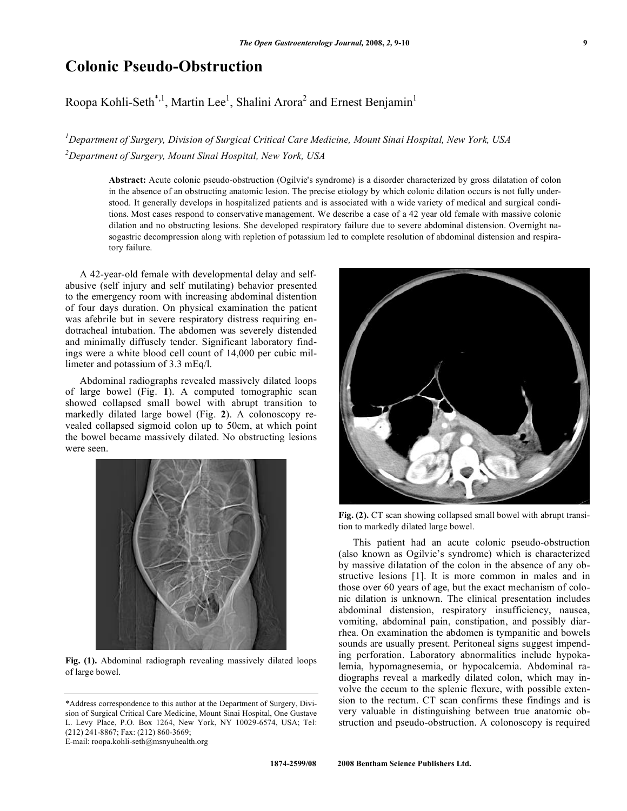## **Colonic Pseudo-Obstruction**

## Roopa Kohli-Seth<sup>\*,1</sup>, Martin Lee<sup>1</sup>, Shalini Arora<sup>2</sup> and Ernest Benjamin<sup>1</sup>

*1 Department of Surgery, Division of Surgical Critical Care Medicine, Mount Sinai Hospital, New York, USA 2 Department of Surgery, Mount Sinai Hospital, New York, USA* 

**Abstract:** Acute colonic pseudo-obstruction (Ogilvie's syndrome) is a disorder characterized by gross dilatation of colon in the absence of an obstructing anatomic lesion. The precise etiology by which colonic dilation occurs is not fully understood. It generally develops in hospitalized patients and is associated with a wide variety of medical and surgical conditions. Most cases respond to conservative management. We describe a case of a 42 year old female with massive colonic dilation and no obstructing lesions. She developed respiratory failure due to severe abdominal distension. Overnight nasogastric decompression along with repletion of potassium led to complete resolution of abdominal distension and respiratory failure.

 A 42-year-old female with developmental delay and selfabusive (self injury and self mutilating) behavior presented to the emergency room with increasing abdominal distention of four days duration. On physical examination the patient was afebrile but in severe respiratory distress requiring endotracheal intubation. The abdomen was severely distended and minimally diffusely tender. Significant laboratory findings were a white blood cell count of 14,000 per cubic millimeter and potassium of 3.3 mEq/l.

 Abdominal radiographs revealed massively dilated loops of large bowel (Fig. **1**). A computed tomographic scan showed collapsed small bowel with abrupt transition to markedly dilated large bowel (Fig. **2**). A colonoscopy revealed collapsed sigmoid colon up to 50cm, at which point the bowel became massively dilated. No obstructing lesions were seen.



**Fig. (1).** Abdominal radiograph revealing massively dilated loops of large bowel.



Fig. (2). CT scan showing collapsed small bowel with abrupt transition to markedly dilated large bowel.

 This patient had an acute colonic pseudo-obstruction (also known as Ogilvie's syndrome) which is characterized by massive dilatation of the colon in the absence of any obstructive lesions [1]. It is more common in males and in those over 60 years of age, but the exact mechanism of colonic dilation is unknown. The clinical presentation includes abdominal distension, respiratory insufficiency, nausea, vomiting, abdominal pain, constipation, and possibly diarrhea. On examination the abdomen is tympanitic and bowels sounds are usually present. Peritoneal signs suggest impending perforation. Laboratory abnormalities include hypokalemia, hypomagnesemia, or hypocalcemia. Abdominal radiographs reveal a markedly dilated colon, which may involve the cecum to the splenic flexure, with possible extension to the rectum. CT scan confirms these findings and is very valuable in distinguishing between true anatomic obstruction and pseudo-obstruction. A colonoscopy is required

<sup>\*</sup>Address correspondence to this author at the Department of Surgery, Division of Surgical Critical Care Medicine, Mount Sinai Hospital, One Gustave L. Levy Place, P.O. Box 1264, New York, NY 10029-6574, USA; Tel: (212) 241-8867; Fax: (212) 860-3669; E-mail: roopa.kohli-seth@msnyuhealth.org